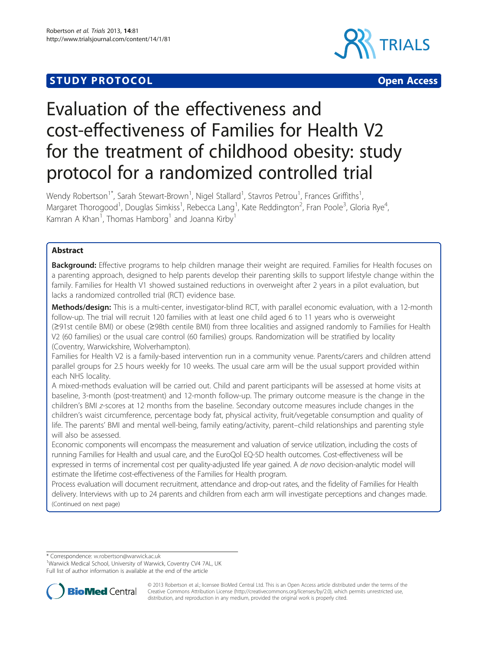# **STUDY PROTOCOL CONSUMING THE CONSUMING OPEN ACCESS**





# Evaluation of the effectiveness and cost-effectiveness of Families for Health V2 for the treatment of childhood obesity: study protocol for a randomized controlled trial

Wendy Robertson<sup>1\*</sup>, Sarah Stewart-Brown<sup>1</sup>, Nigel Stallard<sup>1</sup>, Stavros Petrou<sup>1</sup>, Frances Griffiths<sup>1</sup> , Margaret Thorogood<sup>1</sup>, Douglas Simkiss<sup>1</sup>, Rebecca Lang<sup>1</sup>, Kate Reddington<sup>2</sup>, Fran Poole<sup>3</sup>, Gloria Rye<sup>4</sup> , Kamran A Khan<sup>1</sup>, Thomas Hamborg<sup>1</sup> and Joanna Kirby<sup>1</sup>

# Abstract

**Background:** Effective programs to help children manage their weight are required. Families for Health focuses on a parenting approach, designed to help parents develop their parenting skills to support lifestyle change within the family. Families for Health V1 showed sustained reductions in overweight after 2 years in a pilot evaluation, but lacks a randomized controlled trial (RCT) evidence base.

Methods/design: This is a multi-center, investigator-blind RCT, with parallel economic evaluation, with a 12-month follow-up. The trial will recruit 120 families with at least one child aged 6 to 11 years who is overweight (≥91st centile BMI) or obese (≥98th centile BMI) from three localities and assigned randomly to Families for Health V2 (60 families) or the usual care control (60 families) groups. Randomization will be stratified by locality (Coventry, Warwickshire, Wolverhampton).

Families for Health V2 is a family-based intervention run in a community venue. Parents/carers and children attend parallel groups for 2.5 hours weekly for 10 weeks. The usual care arm will be the usual support provided within each NHS locality.

A mixed-methods evaluation will be carried out. Child and parent participants will be assessed at home visits at baseline, 3-month (post-treatment) and 12-month follow-up. The primary outcome measure is the change in the children's BMI z-scores at 12 months from the baseline. Secondary outcome measures include changes in the children's waist circumference, percentage body fat, physical activity, fruit/vegetable consumption and quality of life. The parents' BMI and mental well-being, family eating/activity, parent–child relationships and parenting style will also be assessed.

Economic components will encompass the measurement and valuation of service utilization, including the costs of running Families for Health and usual care, and the EuroQol EQ-5D health outcomes. Cost-effectiveness will be expressed in terms of incremental cost per quality-adjusted life year gained. A de novo decision-analytic model will estimate the lifetime cost-effectiveness of the Families for Health program.

Process evaluation will document recruitment, attendance and drop-out rates, and the fidelity of Families for Health delivery. Interviews with up to 24 parents and children from each arm will investigate perceptions and changes made. (Continued on next page)

\* Correspondence: [w.robertson@warwick.ac.uk](mailto:w.robertson@warwick.ac.uk) <sup>1</sup>

<sup>1</sup>Warwick Medical School, University of Warwick, Coventry CV4 7AL, UK Full list of author information is available at the end of the article



© 2013 Robertson et al.; licensee BioMed Central Ltd. This is an Open Access article distributed under the terms of the Creative Commons Attribution License (<http://creativecommons.org/licenses/by/2.0>), which permits unrestricted use, distribution, and reproduction in any medium, provided the original work is properly cited.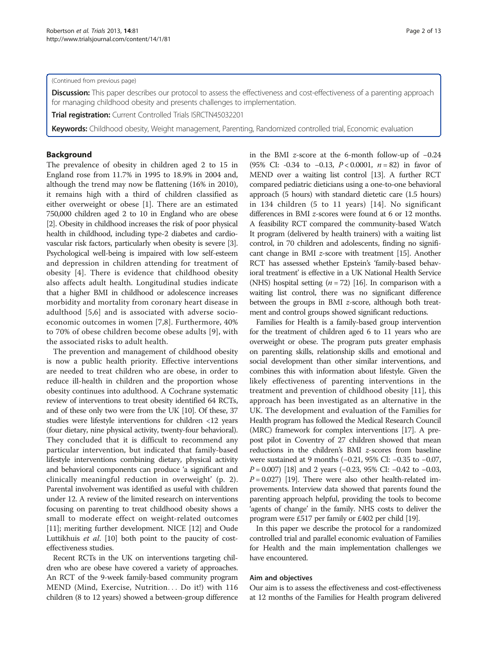#### (Continued from previous page)

Discussion: This paper describes our protocol to assess the effectiveness and cost-effectiveness of a parenting approach for managing childhood obesity and presents challenges to implementation.

Trial registration: Current Controlled Trials [ISRCTN45032201](http://www.controlled-trials.com/ISRCTN45032201)

Keywords: Childhood obesity, Weight management, Parenting, Randomized controlled trial, Economic evaluation

#### Background

The prevalence of obesity in children aged 2 to 15 in England rose from 11.7% in 1995 to 18.9% in 2004 and, although the trend may now be flattening (16% in 2010), it remains high with a third of children classified as either overweight or obese [\[1\]](#page-11-0). There are an estimated 750,000 children aged 2 to 10 in England who are obese [[2](#page-11-0)]. Obesity in childhood increases the risk of poor physical health in childhood, including type-2 diabetes and cardiovascular risk factors, particularly when obesity is severe [[3](#page-11-0)]. Psychological well-being is impaired with low self-esteem and depression in children attending for treatment of obesity [\[4](#page-11-0)]. There is evidence that childhood obesity also affects adult health. Longitudinal studies indicate that a higher BMI in childhood or adolescence increases morbidity and mortality from coronary heart disease in adulthood [\[5,6](#page-11-0)] and is associated with adverse socioeconomic outcomes in women [[7,8\]](#page-11-0). Furthermore, 40% to 70% of obese children become obese adults [\[9\]](#page-11-0), with the associated risks to adult health.

The prevention and management of childhood obesity is now a public health priority. Effective interventions are needed to treat children who are obese, in order to reduce ill-health in children and the proportion whose obesity continues into adulthood. A Cochrane systematic review of interventions to treat obesity identified 64 RCTs, and of these only two were from the UK [\[10](#page-11-0)]. Of these, 37 studies were lifestyle interventions for children <12 years (four dietary, nine physical activity, twenty-four behavioral). They concluded that it is difficult to recommend any particular intervention, but indicated that family-based lifestyle interventions combining dietary, physical activity and behavioral components can produce 'a significant and clinically meaningful reduction in overweight' (p. 2). Parental involvement was identified as useful with children under 12. A review of the limited research on interventions focusing on parenting to treat childhood obesity shows a small to moderate effect on weight-related outcomes [[11](#page-11-0)]; meriting further development. NICE [[12](#page-11-0)] and Oude Luttikhuis et al. [[10](#page-11-0)] both point to the paucity of costeffectiveness studies.

Recent RCTs in the UK on interventions targeting children who are obese have covered a variety of approaches. An RCT of the 9-week family-based community program MEND (Mind, Exercise, Nutrition... Do it!) with 116 children (8 to 12 years) showed a between-group difference in the BMI z-score at the 6-month follow-up of −0.24 (95% CI: -0.34 to −0.13, P < 0.0001, n = 82) in favor of MEND over a waiting list control [\[13](#page-11-0)]. A further RCT compared pediatric dieticians using a one-to-one behavioral approach (5 hours) with standard dietetic care (1.5 hours) in 134 children (5 to 11 years) [[14\]](#page-11-0). No significant differences in BMI z-scores were found at 6 or 12 months. A feasibility RCT compared the community-based Watch It program (delivered by health trainers) with a waiting list control, in 70 children and adolescents, finding no significant change in BMI z-score with treatment [\[15\]](#page-11-0). Another RCT has assessed whether Epstein's 'family-based behavioral treatment' is effective in a UK National Health Service (NHS) hospital setting  $(n = 72)$  [\[16](#page-11-0)]. In comparison with a waiting list control, there was no significant difference between the groups in BMI z-score, although both treatment and control groups showed significant reductions.

Families for Health is a family-based group intervention for the treatment of children aged 6 to 11 years who are overweight or obese. The program puts greater emphasis on parenting skills, relationship skills and emotional and social development than other similar interventions, and combines this with information about lifestyle. Given the likely effectiveness of parenting interventions in the treatment and prevention of childhood obesity [\[11](#page-11-0)], this approach has been investigated as an alternative in the UK. The development and evaluation of the Families for Health program has followed the Medical Research Council (MRC) framework for complex interventions [\[17\]](#page-11-0). A prepost pilot in Coventry of 27 children showed that mean reductions in the children's BMI z-scores from baseline were sustained at 9 months (−0.21, 95% CI: −0.35 to −0.07, P = 0.007) [[18](#page-11-0)] and 2 years (-0.23, 95% CI: -0.42 to -0.03,  $P = 0.027$ ) [\[19](#page-11-0)]. There were also other health-related improvements. Interview data showed that parents found the parenting approach helpful, providing the tools to become 'agents of change' in the family. NHS costs to deliver the program were £517 per family or £402 per child [\[19\]](#page-11-0).

In this paper we describe the protocol for a randomized controlled trial and parallel economic evaluation of Families for Health and the main implementation challenges we have encountered.

#### Aim and objectives

Our aim is to assess the effectiveness and cost-effectiveness at 12 months of the Families for Health program delivered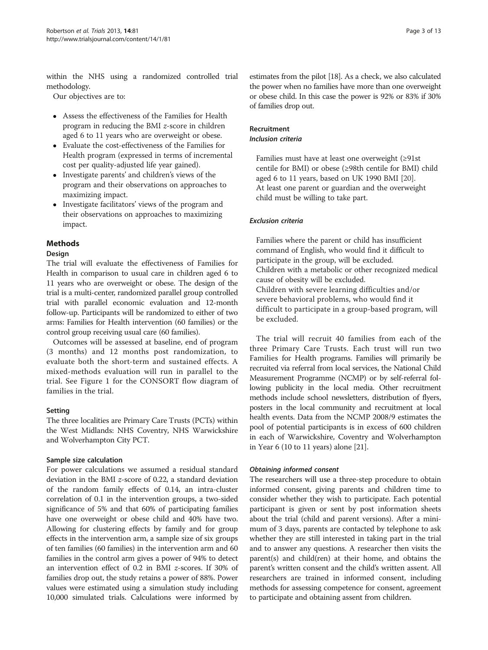within the NHS using a randomized controlled trial methodology.

Our objectives are to:

- Assess the effectiveness of the Families for Health program in reducing the BMI z-score in children aged 6 to 11 years who are overweight or obese.
- Evaluate the cost-effectiveness of the Families for Health program (expressed in terms of incremental cost per quality-adjusted life year gained).
- Investigate parents' and children's views of the program and their observations on approaches to maximizing impact.
- Investigate facilitators' views of the program and their observations on approaches to maximizing impact.

# **Methods**

# Design

The trial will evaluate the effectiveness of Families for Health in comparison to usual care in children aged 6 to 11 years who are overweight or obese. The design of the trial is a multi-center, randomized parallel group controlled trial with parallel economic evaluation and 12-month follow-up. Participants will be randomized to either of two arms: Families for Health intervention (60 families) or the control group receiving usual care (60 families).

Outcomes will be assessed at baseline, end of program (3 months) and 12 months post randomization, to evaluate both the short-term and sustained effects. A mixed-methods evaluation will run in parallel to the trial. See Figure [1](#page-3-0) for the CONSORT flow diagram of families in the trial.

# Setting

The three localities are Primary Care Trusts (PCTs) within the West Midlands: NHS Coventry, NHS Warwickshire and Wolverhampton City PCT.

#### Sample size calculation

For power calculations we assumed a residual standard deviation in the BMI z-score of 0.22, a standard deviation of the random family effects of 0.14, an intra-cluster correlation of 0.1 in the intervention groups, a two-sided significance of 5% and that 60% of participating families have one overweight or obese child and 40% have two. Allowing for clustering effects by family and for group effects in the intervention arm, a sample size of six groups of ten families (60 families) in the intervention arm and 60 families in the control arm gives a power of 94% to detect an intervention effect of 0.2 in BMI z-scores. If 30% of families drop out, the study retains a power of 88%. Power values were estimated using a simulation study including 10,000 simulated trials. Calculations were informed by

estimates from the pilot [[18](#page-11-0)]. As a check, we also calculated the power when no families have more than one overweight or obese child. In this case the power is 92% or 83% if 30% of families drop out.

#### Recruitment

#### Inclusion criteria

Families must have at least one overweight (≥91st centile for BMI) or obese (≥98th centile for BMI) child aged 6 to 11 years, based on UK 1990 BMI [[20](#page-11-0)]. At least one parent or guardian and the overweight child must be willing to take part.

#### Exclusion criteria

Families where the parent or child has insufficient command of English, who would find it difficult to participate in the group, will be excluded. Children with a metabolic or other recognized medical cause of obesity will be excluded. Children with severe learning difficulties and/or severe behavioral problems, who would find it difficult to participate in a group-based program, will be excluded.

The trial will recruit 40 families from each of the three Primary Care Trusts. Each trust will run two Families for Health programs. Families will primarily be recruited via referral from local services, the National Child Measurement Programme (NCMP) or by self-referral following publicity in the local media. Other recruitment methods include school newsletters, distribution of flyers, posters in the local community and recruitment at local health events. Data from the NCMP 2008/9 estimates the pool of potential participants is in excess of 600 children in each of Warwickshire, Coventry and Wolverhampton in Year 6 (10 to 11 years) alone [\[21\]](#page-11-0).

#### Obtaining informed consent

The researchers will use a three-step procedure to obtain informed consent, giving parents and children time to consider whether they wish to participate. Each potential participant is given or sent by post information sheets about the trial (child and parent versions). After a minimum of 3 days, parents are contacted by telephone to ask whether they are still interested in taking part in the trial and to answer any questions. A researcher then visits the parent(s) and child(ren) at their home, and obtains the parent's written consent and the child's written assent. All researchers are trained in informed consent, including methods for assessing competence for consent, agreement to participate and obtaining assent from children.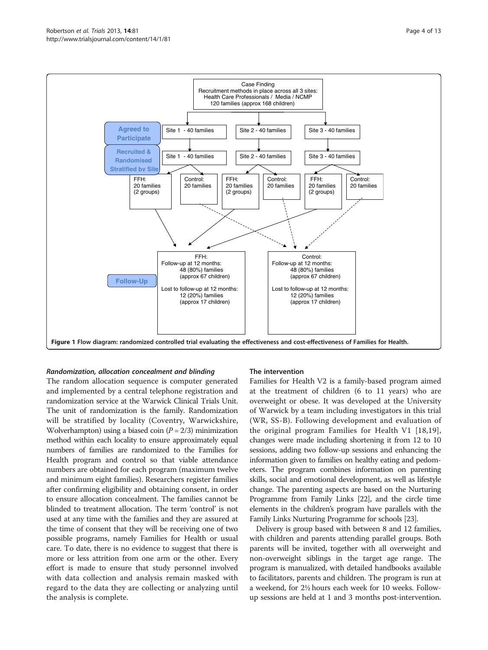<span id="page-3-0"></span>

# Randomization, allocation concealment and blinding

The random allocation sequence is computer generated and implemented by a central telephone registration and randomization service at the Warwick Clinical Trials Unit. The unit of randomization is the family. Randomization will be stratified by locality (Coventry, Warwickshire, Wolverhampton) using a biased coin  $(P = 2/3)$  minimization method within each locality to ensure approximately equal numbers of families are randomized to the Families for Health program and control so that viable attendance numbers are obtained for each program (maximum twelve and minimum eight families). Researchers register families after confirming eligibility and obtaining consent, in order to ensure allocation concealment. The families cannot be blinded to treatment allocation. The term 'control' is not used at any time with the families and they are assured at the time of consent that they will be receiving one of two possible programs, namely Families for Health or usual care. To date, there is no evidence to suggest that there is more or less attrition from one arm or the other. Every effort is made to ensure that study personnel involved with data collection and analysis remain masked with regard to the data they are collecting or analyzing until the analysis is complete.

#### The intervention

Families for Health V2 is a family-based program aimed at the treatment of children (6 to 11 years) who are overweight or obese. It was developed at the University of Warwick by a team including investigators in this trial (WR, SS-B). Following development and evaluation of the original program Families for Health V1 [\[18,19](#page-11-0)], changes were made including shortening it from 12 to 10 sessions, adding two follow-up sessions and enhancing the information given to families on healthy eating and pedometers. The program combines information on parenting skills, social and emotional development, as well as lifestyle change. The parenting aspects are based on the Nurturing Programme from Family Links [\[22\]](#page-11-0), and the circle time elements in the children's program have parallels with the Family Links Nurturing Programme for schools [\[23\]](#page-11-0).

Delivery is group based with between 8 and 12 families, with children and parents attending parallel groups. Both parents will be invited, together with all overweight and non-overweight siblings in the target age range. The program is manualized, with detailed handbooks available to facilitators, parents and children. The program is run at a weekend, for 2½ hours each week for 10 weeks. Followup sessions are held at 1 and 3 months post-intervention.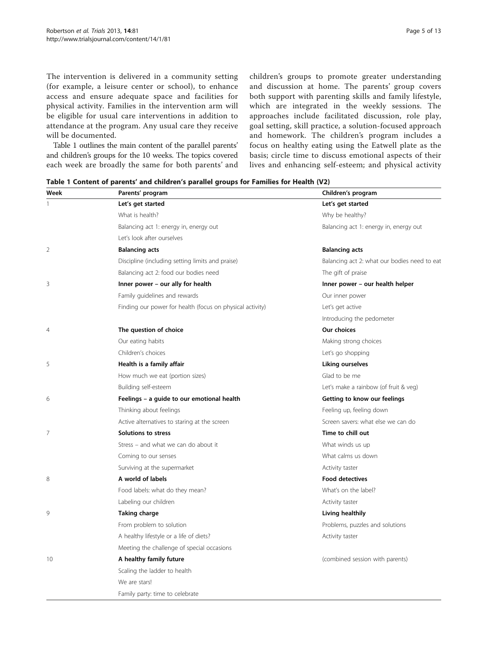The intervention is delivered in a community setting (for example, a leisure center or school), to enhance access and ensure adequate space and facilities for physical activity. Families in the intervention arm will be eligible for usual care interventions in addition to attendance at the program. Any usual care they receive will be documented.

Table 1 outlines the main content of the parallel parents' and children's groups for the 10 weeks. The topics covered each week are broadly the same for both parents' and children's groups to promote greater understanding and discussion at home. The parents' group covers both support with parenting skills and family lifestyle, which are integrated in the weekly sessions. The approaches include facilitated discussion, role play, goal setting, skill practice, a solution-focused approach and homework. The children's program includes a focus on healthy eating using the Eatwell plate as the basis; circle time to discuss emotional aspects of their lives and enhancing self-esteem; and physical activity

Table 1 Content of parents' and children's parallel groups for Families for Health (V2)

| Week           | Parents' program                                          | Children's program                           |
|----------------|-----------------------------------------------------------|----------------------------------------------|
| 1              | Let's get started                                         | Let's get started                            |
|                | What is health?                                           | Why be healthy?                              |
|                | Balancing act 1: energy in, energy out                    | Balancing act 1: energy in, energy out       |
|                | Let's look after ourselves                                |                                              |
| $\overline{2}$ | <b>Balancing acts</b>                                     | <b>Balancing acts</b>                        |
|                | Discipline (including setting limits and praise)          | Balancing act 2: what our bodies need to eat |
|                | Balancing act 2: food our bodies need                     | The gift of praise                           |
| 3              | Inner power - our ally for health                         | Inner power - our health helper              |
|                | Family guidelines and rewards                             | Our inner power                              |
|                | Finding our power for health (focus on physical activity) | Let's get active                             |
|                |                                                           | Introducing the pedometer                    |
| $\overline{4}$ | The question of choice                                    | Our choices                                  |
|                | Our eating habits                                         | Making strong choices                        |
|                | Children's choices                                        | Let's go shopping                            |
| 5              | Health is a family affair                                 | Liking ourselves                             |
|                | How much we eat (portion sizes)                           | Glad to be me                                |
|                | Building self-esteem                                      | Let's make a rainbow (of fruit & veg)        |
| 6              | Feelings - a guide to our emotional health                | Getting to know our feelings                 |
|                | Thinking about feelings                                   | Feeling up, feeling down                     |
|                | Active alternatives to staring at the screen              | Screen savers: what else we can do           |
| 7              | Solutions to stress                                       | Time to chill out                            |
|                | Stress - and what we can do about it                      | What winds us up                             |
|                | Coming to our senses                                      | What calms us down                           |
|                | Surviving at the supermarket                              | Activity taster                              |
| 8              | A world of labels                                         | <b>Food detectives</b>                       |
|                | Food labels: what do they mean?                           | What's on the label?                         |
|                | Labeling our children                                     | Activity taster                              |
| 9              | <b>Taking charge</b>                                      | Living healthily                             |
|                | From problem to solution                                  | Problems, puzzles and solutions              |
|                | A healthy lifestyle or a life of diets?                   | Activity taster                              |
|                | Meeting the challenge of special occasions                |                                              |
| 10             | A healthy family future                                   | (combined session with parents)              |
|                | Scaling the ladder to health                              |                                              |
|                | We are stars!                                             |                                              |
|                | Family party: time to celebrate                           |                                              |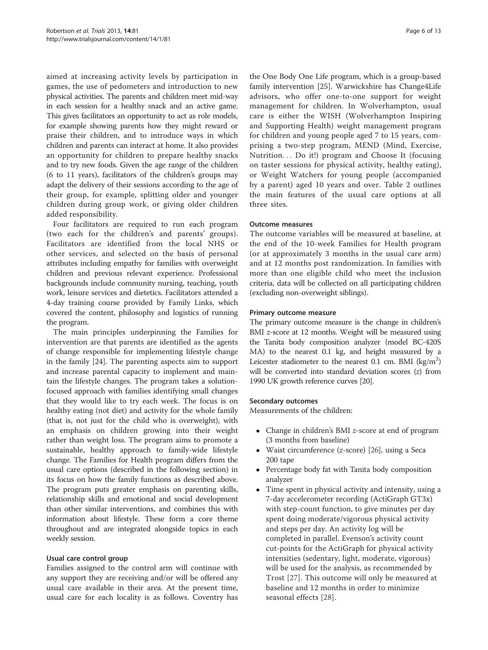aimed at increasing activity levels by participation in games, the use of pedometers and introduction to new physical activities. The parents and children meet mid-way in each session for a healthy snack and an active game. This gives facilitators an opportunity to act as role models, for example showing parents how they might reward or praise their children, and to introduce ways in which children and parents can interact at home. It also provides an opportunity for children to prepare healthy snacks and to try new foods. Given the age range of the children (6 to 11 years), facilitators of the children's groups may adapt the delivery of their sessions according to the age of their group, for example, splitting older and younger children during group work, or giving older children added responsibility.

Four facilitators are required to run each program (two each for the children's and parents' groups). Facilitators are identified from the local NHS or other services, and selected on the basis of personal attributes including empathy for families with overweight children and previous relevant experience. Professional backgrounds include community nursing, teaching, youth work, leisure services and dietetics. Facilitators attended a 4-day training course provided by Family Links, which covered the content, philosophy and logistics of running the program.

The main principles underpinning the Families for intervention are that parents are identified as the agents of change responsible for implementing lifestyle change in the family [[24\]](#page-11-0). The parenting aspects aim to support and increase parental capacity to implement and maintain the lifestyle changes. The program takes a solutionfocused approach with families identifying small changes that they would like to try each week. The focus is on healthy eating (not diet) and activity for the whole family (that is, not just for the child who is overweight), with an emphasis on children growing into their weight rather than weight loss. The program aims to promote a sustainable, healthy approach to family-wide lifestyle change. The Families for Health program differs from the usual care options (described in the following section) in its focus on how the family functions as described above. The program puts greater emphasis on parenting skills, relationship skills and emotional and social development than other similar interventions, and combines this with information about lifestyle. These form a core theme throughout and are integrated alongside topics in each weekly session.

# Usual care control group

Families assigned to the control arm will continue with any support they are receiving and/or will be offered any usual care available in their area. At the present time, usual care for each locality is as follows. Coventry has

the One Body One Life program, which is a group-based family intervention [[25](#page-11-0)]. Warwickshire has Change4Life advisors, who offer one-to-one support for weight management for children. In Wolverhampton, usual care is either the WISH (Wolverhampton Inspiring and Supporting Health) weight management program for children and young people aged 7 to 15 years, comprising a two-step program, MEND (Mind, Exercise, Nutrition... Do it!) program and Choose It (focusing on taster sessions for physical activity, healthy eating), or Weight Watchers for young people (accompanied by a parent) aged 10 years and over. Table [2](#page-6-0) outlines the main features of the usual care options at all three sites.

# Outcome measures

The outcome variables will be measured at baseline, at the end of the 10-week Families for Health program (or at approximately 3 months in the usual care arm) and at 12 months post randomization. In families with more than one eligible child who meet the inclusion criteria, data will be collected on all participating children (excluding non-overweight siblings).

# Primary outcome measure

The primary outcome measure is the change in children's BMI z-score at 12 months. Weight will be measured using the Tanita body composition analyzer (model BC-420S MA) to the nearest 0.1 kg, and height measured by a Leicester stadiometer to the nearest 0.1 cm. BMI  $(kg/m<sup>2</sup>)$ will be converted into standard deviation scores (z) from 1990 UK growth reference curves [\[20\]](#page-11-0).

# Secondary outcomes

Measurements of the children:

- Change in children's BMI *z*-score at end of program (3 months from baseline)
- Waist circumference (z-score) [[26](#page-11-0)], using a Seca 200 tape
- Percentage body fat with Tanita body composition analyzer
- Time spent in physical activity and intensity, using a 7-day accelerometer recording (ActiGraph GT3x) with step-count function, to give minutes per day spent doing moderate/vigorous physical activity and steps per day. An activity log will be completed in parallel. Evenson's activity count cut-points for the ActiGraph for physical activity intensities (sedentary, light, moderate, vigorous) will be used for the analysis, as recommended by Trost [[27\]](#page-11-0). This outcome will only be measured at baseline and 12 months in order to minimize seasonal effects [[28\]](#page-11-0).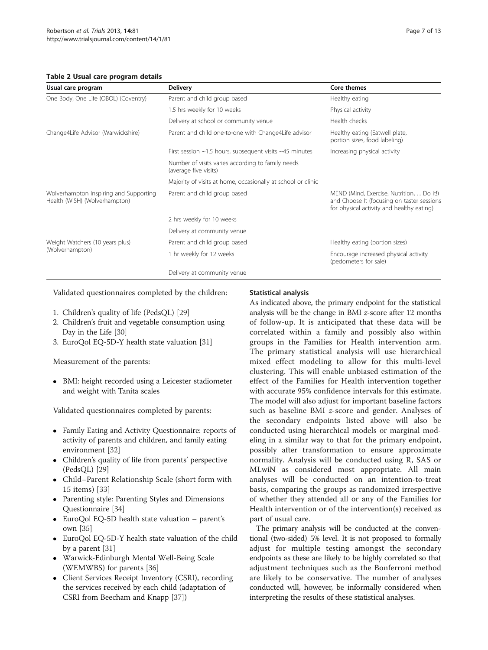#### <span id="page-6-0"></span>Table 2 Usual care program details

| Usual care program                                                      | <b>Delivery</b>                                                            | Core themes                                                                                                                        |
|-------------------------------------------------------------------------|----------------------------------------------------------------------------|------------------------------------------------------------------------------------------------------------------------------------|
| One Body, One Life (OBOL) (Coventry)                                    | Parent and child group based                                               | Healthy eating                                                                                                                     |
|                                                                         | 1.5 hrs weekly for 10 weeks                                                | Physical activity                                                                                                                  |
|                                                                         | Delivery at school or community venue                                      | Health checks                                                                                                                      |
| Change4Life Advisor (Warwickshire)                                      | Parent and child one-to-one with Change4Life advisor                       | Healthy eating (Eatwell plate,<br>portion sizes, food labeling)                                                                    |
|                                                                         | First session $\sim$ 1.5 hours, subsequent visits $\sim$ 45 minutes        | Increasing physical activity                                                                                                       |
|                                                                         | Number of visits varies according to family needs<br>(average five visits) |                                                                                                                                    |
|                                                                         | Majority of visits at home, occasionally at school or clinic               |                                                                                                                                    |
| Wolverhampton Inspiring and Supporting<br>Health (WISH) (Wolverhampton) | Parent and child group based                                               | MEND (Mind, Exercise, Nutrition Do it!)<br>and Choose It (focusing on taster sessions<br>for physical activity and healthy eating) |
|                                                                         | 2 hrs weekly for 10 weeks                                                  |                                                                                                                                    |
|                                                                         | Delivery at community venue                                                |                                                                                                                                    |
| Weight Watchers (10 years plus)                                         | Parent and child group based                                               | Healthy eating (portion sizes)                                                                                                     |
| (Wolverhampton)                                                         | 1 hr weekly for 12 weeks                                                   | Encourage increased physical activity<br>(pedometers for sale)                                                                     |
|                                                                         | Delivery at community venue                                                |                                                                                                                                    |

Validated questionnaires completed by the children:

- 1. Children's quality of life (PedsQL) [[29\]](#page-11-0)
- 2. Children's fruit and vegetable consumption using Day in the Life [\[30](#page-11-0)]
- 3. EuroQol EQ-5D-Y health state valuation [[31](#page-11-0)]

Measurement of the parents:

 BMI: height recorded using a Leicester stadiometer and weight with Tanita scales

Validated questionnaires completed by parents:

- Family Eating and Activity Questionnaire: reports of activity of parents and children, and family eating environment [\[32\]](#page-11-0)
- Children's quality of life from parents' perspective (PedsQL) [[29](#page-11-0)]
- Child–Parent Relationship Scale (short form with 15 items) [\[33](#page-11-0)]
- Parenting style: Parenting Styles and Dimensions Questionnaire [[34](#page-11-0)]
- EuroQol EQ-5D health state valuation parent's own [[35\]](#page-11-0)
- EuroQol EQ-5D-Y health state valuation of the child by a parent [\[31\]](#page-11-0)
- Warwick-Edinburgh Mental Well-Being Scale (WEMWBS) for parents [\[36\]](#page-11-0)
- Client Services Receipt Inventory (CSRI), recording the services received by each child (adaptation of CSRI from Beecham and Knapp [\[37\]](#page-11-0))

# Statistical analysis

As indicated above, the primary endpoint for the statistical analysis will be the change in BMI z-score after 12 months of follow-up. It is anticipated that these data will be correlated within a family and possibly also within groups in the Families for Health intervention arm. The primary statistical analysis will use hierarchical mixed effect modeling to allow for this multi-level clustering. This will enable unbiased estimation of the effect of the Families for Health intervention together with accurate 95% confidence intervals for this estimate. The model will also adjust for important baseline factors such as baseline BMI z-score and gender. Analyses of the secondary endpoints listed above will also be conducted using hierarchical models or marginal modeling in a similar way to that for the primary endpoint, possibly after transformation to ensure approximate normality. Analysis will be conducted using R, SAS or MLwiN as considered most appropriate. All main analyses will be conducted on an intention-to-treat basis, comparing the groups as randomized irrespective of whether they attended all or any of the Families for Health intervention or of the intervention(s) received as part of usual care.

The primary analysis will be conducted at the conventional (two-sided) 5% level. It is not proposed to formally adjust for multiple testing amongst the secondary endpoints as these are likely to be highly correlated so that adjustment techniques such as the Bonferroni method are likely to be conservative. The number of analyses conducted will, however, be informally considered when interpreting the results of these statistical analyses.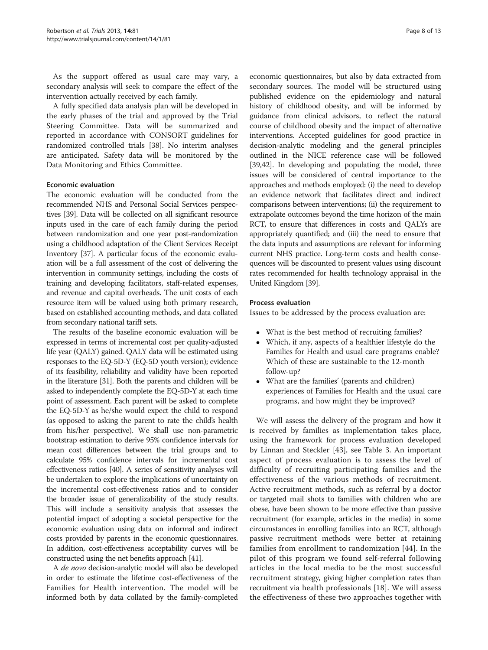As the support offered as usual care may vary, a secondary analysis will seek to compare the effect of the intervention actually received by each family.

A fully specified data analysis plan will be developed in the early phases of the trial and approved by the Trial Steering Committee. Data will be summarized and reported in accordance with CONSORT guidelines for randomized controlled trials [[38\]](#page-11-0). No interim analyses are anticipated. Safety data will be monitored by the Data Monitoring and Ethics Committee.

#### Economic evaluation

The economic evaluation will be conducted from the recommended NHS and Personal Social Services perspectives [[39](#page-11-0)]. Data will be collected on all significant resource inputs used in the care of each family during the period between randomization and one year post-randomization using a childhood adaptation of the Client Services Receipt Inventory [\[37\]](#page-11-0). A particular focus of the economic evaluation will be a full assessment of the cost of delivering the intervention in community settings, including the costs of training and developing facilitators, staff-related expenses, and revenue and capital overheads. The unit costs of each resource item will be valued using both primary research, based on established accounting methods, and data collated from secondary national tariff sets.

The results of the baseline economic evaluation will be expressed in terms of incremental cost per quality-adjusted life year (QALY) gained. QALY data will be estimated using responses to the EQ-5D-Y (EQ-5D youth version); evidence of its feasibility, reliability and validity have been reported in the literature [[31\]](#page-11-0). Both the parents and children will be asked to independently complete the EQ-5D-Y at each time point of assessment. Each parent will be asked to complete the EQ-5D-Y as he/she would expect the child to respond (as opposed to asking the parent to rate the child's health from his/her perspective). We shall use non-parametric bootstrap estimation to derive 95% confidence intervals for mean cost differences between the trial groups and to calculate 95% confidence intervals for incremental cost effectiveness ratios [\[40\]](#page-11-0). A series of sensitivity analyses will be undertaken to explore the implications of uncertainty on the incremental cost-effectiveness ratios and to consider the broader issue of generalizability of the study results. This will include a sensitivity analysis that assesses the potential impact of adopting a societal perspective for the economic evaluation using data on informal and indirect costs provided by parents in the economic questionnaires. In addition, cost-effectiveness acceptability curves will be constructed using the net benefits approach [\[41\]](#page-11-0).

A de novo decision-analytic model will also be developed in order to estimate the lifetime cost-effectiveness of the Families for Health intervention. The model will be informed both by data collated by the family-completed

economic questionnaires, but also by data extracted from secondary sources. The model will be structured using published evidence on the epidemiology and natural history of childhood obesity, and will be informed by guidance from clinical advisors, to reflect the natural course of childhood obesity and the impact of alternative interventions. Accepted guidelines for good practice in decision-analytic modeling and the general principles outlined in the NICE reference case will be followed [[39](#page-11-0),[42](#page-11-0)]. In developing and populating the model, three issues will be considered of central importance to the approaches and methods employed: (i) the need to develop an evidence network that facilitates direct and indirect comparisons between interventions; (ii) the requirement to extrapolate outcomes beyond the time horizon of the main RCT, to ensure that differences in costs and QALYs are appropriately quantified; and (iii) the need to ensure that the data inputs and assumptions are relevant for informing current NHS practice. Long-term costs and health consequences will be discounted to present values using discount rates recommended for health technology appraisal in the United Kingdom [\[39\]](#page-11-0).

#### Process evaluation

Issues to be addressed by the process evaluation are:

- What is the best method of recruiting families?<br>• Which, if any, aspects of a healthier lifestyle do
- Which, if any, aspects of a healthier lifestyle do the Families for Health and usual care programs enable? Which of these are sustainable to the 12-month follow-up?
- What are the families' (parents and children) experiences of Families for Health and the usual care programs, and how might they be improved?

We will assess the delivery of the program and how it is received by families as implementation takes place, using the framework for process evaluation developed by Linnan and Steckler [\[43](#page-11-0)], see Table [3](#page-8-0). An important aspect of process evaluation is to assess the level of difficulty of recruiting participating families and the effectiveness of the various methods of recruitment. Active recruitment methods, such as referral by a doctor or targeted mail shots to families with children who are obese, have been shown to be more effective than passive recruitment (for example, articles in the media) in some circumstances in enrolling families into an RCT, although passive recruitment methods were better at retaining families from enrollment to randomization [\[44](#page-12-0)]. In the pilot of this program we found self-referral following articles in the local media to be the most successful recruitment strategy, giving higher completion rates than recruitment via health professionals [\[18](#page-11-0)]. We will assess the effectiveness of these two approaches together with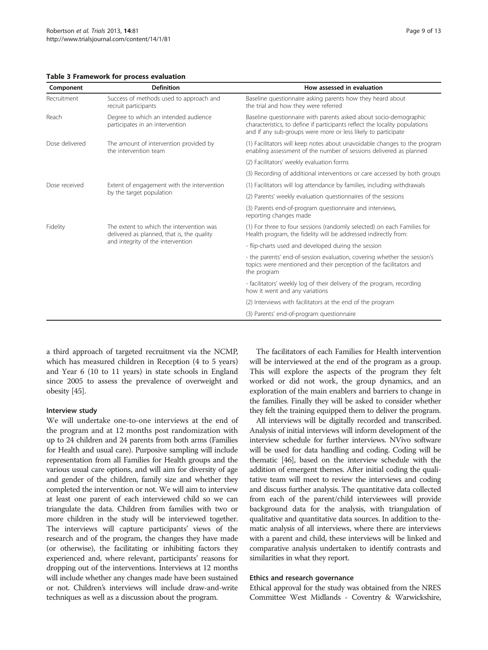#### <span id="page-8-0"></span>Table 3 Framework for process evaluation

| Component      | <b>Definition</b>                                                                                                           | How assessed in evaluation                                                                                                                                                                                        |
|----------------|-----------------------------------------------------------------------------------------------------------------------------|-------------------------------------------------------------------------------------------------------------------------------------------------------------------------------------------------------------------|
| Recruitment    | Success of methods used to approach and<br>recruit participants                                                             | Baseline questionnaire asking parents how they heard about<br>the trial and how they were referred                                                                                                                |
| Reach          | Degree to which an intended audience<br>participates in an intervention                                                     | Baseline questionnaire with parents asked about socio-demographic<br>characteristics, to define if participants reflect the locality populations<br>and if any sub-groups were more or less likely to participate |
| Dose delivered | The amount of intervention provided by<br>the intervention team                                                             | (1) Facilitators will keep notes about unavoidable changes to the program<br>enabling assessment of the number of sessions delivered as planned                                                                   |
|                |                                                                                                                             | (2) Facilitators' weekly evaluation forms                                                                                                                                                                         |
|                |                                                                                                                             | (3) Recording of additional interventions or care accessed by both groups                                                                                                                                         |
| Dose received  | Extent of engagement with the intervention<br>by the target population                                                      | (1) Facilitators will log attendance by families, including withdrawals                                                                                                                                           |
|                |                                                                                                                             | (2) Parents' weekly evaluation questionnaires of the sessions                                                                                                                                                     |
|                |                                                                                                                             | (3) Parents end-of-program questionnaire and interviews,<br>reporting changes made                                                                                                                                |
| Fidelity       | The extent to which the intervention was<br>delivered as planned, that is, the quality<br>and integrity of the intervention | (1) For three to four sessions (randomly selected) on each Families for<br>Health program, the fidelity will be addressed indirectly from:                                                                        |
|                |                                                                                                                             | - flip-charts used and developed during the session                                                                                                                                                               |
|                |                                                                                                                             | - the parents' end-of-session evaluation, covering whether the session's<br>topics were mentioned and their perception of the facilitators and<br>the program                                                     |
|                |                                                                                                                             | - facilitators' weekly log of their delivery of the program, recording<br>how it went and any variations                                                                                                          |
|                |                                                                                                                             | (2) Interviews with facilitators at the end of the program                                                                                                                                                        |
|                |                                                                                                                             | (3) Parents' end-of-program questionnaire                                                                                                                                                                         |

a third approach of targeted recruitment via the NCMP, which has measured children in Reception (4 to 5 years) and Year 6 (10 to 11 years) in state schools in England since 2005 to assess the prevalence of overweight and obesity [\[45\]](#page-12-0).

#### Interview study

We will undertake one-to-one interviews at the end of the program and at 12 months post randomization with up to 24 children and 24 parents from both arms (Families for Health and usual care). Purposive sampling will include representation from all Families for Health groups and the various usual care options, and will aim for diversity of age and gender of the children, family size and whether they completed the intervention or not. We will aim to interview at least one parent of each interviewed child so we can triangulate the data. Children from families with two or more children in the study will be interviewed together. The interviews will capture participants' views of the research and of the program, the changes they have made (or otherwise), the facilitating or inhibiting factors they experienced and, where relevant, participants' reasons for dropping out of the interventions. Interviews at 12 months will include whether any changes made have been sustained or not. Children's interviews will include draw-and-write techniques as well as a discussion about the program.

The facilitators of each Families for Health intervention will be interviewed at the end of the program as a group. This will explore the aspects of the program they felt worked or did not work, the group dynamics, and an exploration of the main enablers and barriers to change in the families. Finally they will be asked to consider whether they felt the training equipped them to deliver the program.

All interviews will be digitally recorded and transcribed. Analysis of initial interviews will inform development of the interview schedule for further interviews. NVivo software will be used for data handling and coding. Coding will be thematic [[46\]](#page-12-0), based on the interview schedule with the addition of emergent themes. After initial coding the qualitative team will meet to review the interviews and coding and discuss further analysis. The quantitative data collected from each of the parent/child interviewees will provide background data for the analysis, with triangulation of qualitative and quantitative data sources. In addition to thematic analysis of all interviews, where there are interviews with a parent and child, these interviews will be linked and comparative analysis undertaken to identify contrasts and similarities in what they report.

#### Ethics and research governance

Ethical approval for the study was obtained from the NRES Committee West Midlands - Coventry & Warwickshire,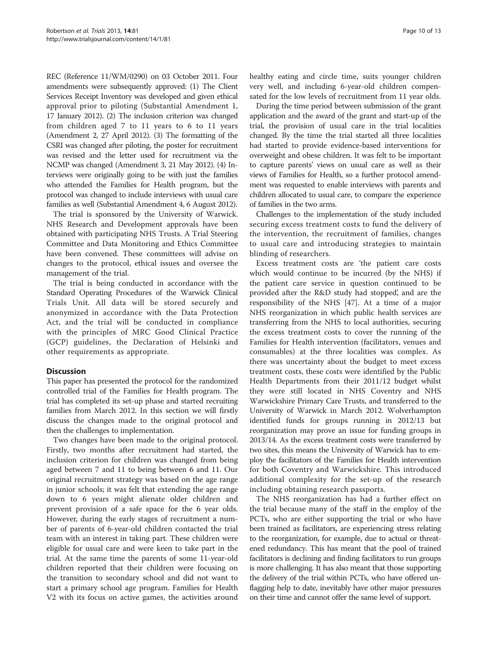REC (Reference 11/WM/0290) on 03 October 2011. Four amendments were subsequently approved: (1) The Client Services Receipt Inventory was developed and given ethical approval prior to piloting (Substantial Amendment 1, 17 January 2012). (2) The inclusion criterion was changed from children aged 7 to 11 years to 6 to 11 years (Amendment 2, 27 April 2012). (3) The formatting of the CSRI was changed after piloting, the poster for recruitment was revised and the letter used for recruitment via the NCMP was changed (Amendment 3, 21 May 2012). (4) Interviews were originally going to be with just the families who attended the Families for Health program, but the protocol was changed to include interviews with usual care families as well (Substantial Amendment 4, 6 August 2012).

The trial is sponsored by the University of Warwick. NHS Research and Development approvals have been obtained with participating NHS Trusts. A Trial Steering Committee and Data Monitoring and Ethics Committee have been convened. These committees will advise on changes to the protocol, ethical issues and oversee the management of the trial.

The trial is being conducted in accordance with the Standard Operating Procedures of the Warwick Clinical Trials Unit. All data will be stored securely and anonymized in accordance with the Data Protection Act, and the trial will be conducted in compliance with the principles of MRC Good Clinical Practice (GCP) guidelines, the Declaration of Helsinki and other requirements as appropriate.

# Discussion

This paper has presented the protocol for the randomized controlled trial of the Families for Health program. The trial has completed its set-up phase and started recruiting families from March 2012. In this section we will firstly discuss the changes made to the original protocol and then the challenges to implementation.

Two changes have been made to the original protocol. Firstly, two months after recruitment had started, the inclusion criterion for children was changed from being aged between 7 and 11 to being between 6 and 11. Our original recruitment strategy was based on the age range in junior schools; it was felt that extending the age range down to 6 years might alienate older children and prevent provision of a safe space for the 6 year olds. However, during the early stages of recruitment a number of parents of 6-year-old children contacted the trial team with an interest in taking part. These children were eligible for usual care and were keen to take part in the trial. At the same time the parents of some 11-year-old children reported that their children were focusing on the transition to secondary school and did not want to start a primary school age program. Families for Health V2 with its focus on active games, the activities around healthy eating and circle time, suits younger children very well, and including 6-year-old children compensated for the low levels of recruitment from 11 year olds.

During the time period between submission of the grant application and the award of the grant and start-up of the trial, the provision of usual care in the trial localities changed. By the time the trial started all three localities had started to provide evidence-based interventions for overweight and obese children. It was felt to be important to capture parents' views on usual care as well as their views of Families for Health, so a further protocol amendment was requested to enable interviews with parents and children allocated to usual care, to compare the experience of families in the two arms.

Challenges to the implementation of the study included securing excess treatment costs to fund the delivery of the intervention, the recruitment of families, changes to usual care and introducing strategies to maintain blinding of researchers.

Excess treatment costs are 'the patient care costs which would continue to be incurred (by the NHS) if the patient care service in question continued to be provided after the R&D study had stopped', and are the responsibility of the NHS [47]. At a time of a major NHS reorganization in which public health services are transferring from the NHS to local authorities, securing the excess treatment costs to cover the running of the Families for Health intervention (facilitators, venues and consumables) at the three localities was complex. As there was uncertainty about the budget to meet excess treatment costs, these costs were identified by the Public Health Departments from their 2011/12 budget whilst they were still located in NHS Coventry and NHS Warwickshire Primary Care Trusts, and transferred to the University of Warwick in March 2012. Wolverhampton identified funds for groups running in 2012/13 but reorganization may prove an issue for funding groups in 2013/14. As the excess treatment costs were transferred by two sites, this means the University of Warwick has to employ the facilitators of the Families for Health intervention for both Coventry and Warwickshire. This introduced additional complexity for the set-up of the research including obtaining research passports.

The NHS reorganization has had a further effect on the trial because many of the staff in the employ of the PCTs, who are either supporting the trial or who have been trained as facilitators, are experiencing stress relating to the reorganization, for example, due to actual or threatened redundancy. This has meant that the pool of trained facilitators is declining and finding facilitators to run groups is more challenging. It has also meant that those supporting the delivery of the trial within PCTs, who have offered unflagging help to date, inevitably have other major pressures on their time and cannot offer the same level of support.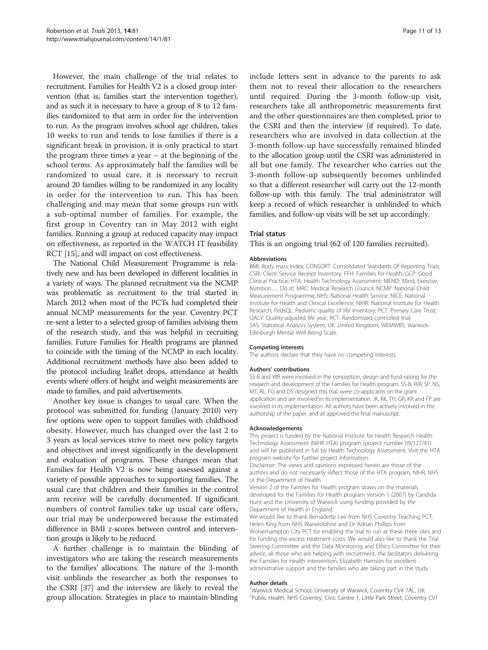However, the main challenge of the trial relates to recruitment. Families for Health V2 is a closed group intervention (that is, families start the intervention together), and as such it is necessary to have a group of 8 to 12 families randomized to that arm in order for the intervention to run. As the program involves school age children, takes 10 weeks to run and tends to lose families if there is a significant break in provision, it is only practical to start the program three times a year – at the beginning of the school terms. As approximately half the families will be randomized to usual care, it is necessary to recruit around 20 families willing to be randomized in any locality in order for the intervention to run. This has been challenging and may mean that some groups run with a sub-optimal number of families. For example, the first group in Coventry ran in May 2012 with eight families. Running a group at reduced capacity may impact on effectiveness, as reported in the WATCH IT feasibility RCT [[15](#page-11-0)], and will impact on cost effectiveness.

The National Child Measurement Programme is relatively new and has been developed in different localities in a variety of ways. The planned recruitment via the NCMP was problematic as recruitment to the trial started in March 2012 when most of the PCTs had completed their annual NCMP measurements for the year. Coventry PCT re-sent a letter to a selected group of families advising them of the research study, and this was helpful in recruiting families. Future Families for Health programs are planned to coincide with the timing of the NCMP in each locality. Additional recruitment methods have also been added to the protocol including leaflet drops, attendance at health events where offers of height and weight measurements are made to families, and paid advertisements.

Another key issue is changes to usual care. When the protocol was submitted for funding (January 2010) very few options were open to support families with childhood obesity. However, much has changed over the last 2 to 3 years as local services strive to meet new policy targets and objectives and invest significantly in the development and evaluation of programs. These changes mean that Families for Health V2 is now being assessed against a variety of possible approaches to supporting families. The usual care that children and their families in the control arm receive will be carefully documented. If significant numbers of control families take up usual care offers, our trial may be underpowered because the estimated difference in BMI z-scores between control and intervention groups is likely to be reduced.

A further challenge is to maintain the blinding of investigators who are taking the research measurements to the families' allocations. The nature of the 3-month visit unblinds the researcher as both the responses to the CSRI [[37](#page-11-0)] and the interview are likely to reveal the group allocation. Strategies in place to maintain blinding

include letters sent in advance to the parents to ask them not to reveal their allocation to the researchers until required. During the 3-month follow-up visit, researchers take all anthropometric measurements first and the other questionnaires are then completed, prior to the CSRI and then the interview (if required). To date, researchers who are involved in data collection at the 3-month follow-up have successfully remained blinded to the allocation group until the CSRI was administered in all but one family. The researcher who carries out the 3-month follow-up subsequently becomes unblinded so that a different researcher will carry out the 12-month follow-up with this family. The trial administrator will keep a record of which researcher is unblinded to which families, and follow-up visits will be set up accordingly.

#### Trial status

This is an ongoing trial (62 of 120 families recruited).

#### Abbreviations

BMI: Body mass index; CONSORT: Consolidated Standards Of Reporting Trials; CSRI: Client Service Receipt Inventory; FFH: Families for Health; GCP: Good Clinical Practice; HTA: Health Technology Assessment; MEND: Mind, Exercise, Nutrition... Do it!; MRC: Medical Research Council; NCMP: National Child Measurement Programme; NHS: National Health Service; NICE: National Institute for Health and Clinical Excellence; NIHR: National Institute for Health Research; PedsQL: Pediatric quality of life inventory; PCT: Primary Care Trust; QALY: Quality-adjusted life year; RCT: Randomized controlled trial; SAS: Statistical Analysis System; UK: United Kingdom; WEMWBS: Warwick-Edinburgh Mental Well-Being Scale.

#### Competing interests

The authors declare that they have no competing interests.

#### Authors' contributions

SS-B and WR were involved in the conception, design and fund-raising for the research and development of the Families for Health program. SS-B, WR, SP, NS, MT, RL, FG and DS designed this trial, were co-applicants on the grant application and are involved in its implementation. JK, KK, TH, GR, KR and FP are involved in its implementation. All authors have been actively involved in the authorship of the paper, and all approved the final manuscript.

#### Acknowledgements

This project is funded by the National Institute for Health Research Health Technology Assessment (NIHR HTA) program (project number 09/127/41) and will be published in full by Health Technology Assessment. Visit the HTA program website for further project information.

Disclaimer: The views and opinions expressed herein are those of the authors and do not necessarily reflect those of the HTA program, NIHR, NHS or the Department of Health.

Version 2 of the Families for Health program draws on the materials developed for the Families for Health program Version 1 (2007) by Candida Hunt and the University of Warwick using funding provided by the Department of Health in England.

We would like to thank Bernadette Lee from NHS Coventry Teaching PCT, Helen King from NHS Warwickshire and Dr Adrian Phillips from

Wolverhampton City PCT for enabling the trial to run at these three sites and for funding the excess treatment costs. We would also like to thank the Trial Steering Committee and the Data Monitoring and Ethics Committee for their advice, all those who are helping with recruitment, the facilitators delivering the Families for Health intervention, Elizabeth Harrison for excellent administrative support and the families who are taking part in the study.

#### Author details

<sup>1</sup>Warwick Medical School, University of Warwick, Coventry CV4 7AL, UK 2 Public Health, NHS Coventry, Civic Centre 1, Little Park Street, Coventry CV1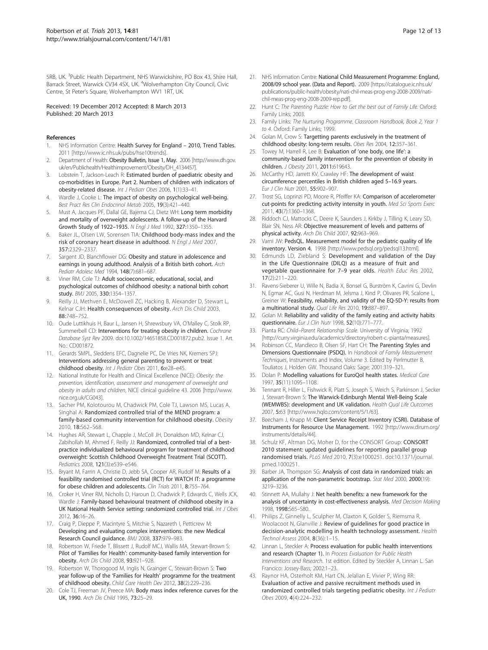<span id="page-11-0"></span>5RB, UK. <sup>3</sup>Public Health Department, NHS Warwickshire, PO Box 43, Shire Hall, Barrack Street, Warwick CV34 4SX, UK. <sup>4</sup>Wolverhampton City Council, Civic Centre, St Peter's Square, Wolverhampton WV1 1RT, UK.

#### Received: 19 December 2012 Accepted: 8 March 2013 Published: 20 March 2013

#### References

- 1. NHS Information Centre: Health Survey for England 2010, Trend Tables. 2011 [\[http://www.ic.nhs.uk/pubs/hse10trends](http://www.ic.nhs.uk/pubs/hse10trends)].
- Department of Health: Obesity Bulletin, Issue 1, May. 2006 [\[http://www.dh.gov.](http://www.dh.gov.uk/en/Publichealth/Healthimprovement/Obesity/DH_4134457) [uk/en/Publichealth/Healthimprovement/Obesity/DH\\_4134457](http://www.dh.gov.uk/en/Publichealth/Healthimprovement/Obesity/DH_4134457)].
- Lobstein T, Jackson-Leach R: Estimated burden of paediatric obesity and co-morbidities in Europe. Part 2. Numbers of children with indicators of obesity-related disease. Int J Pediatr Obes 2006, 1(1):33–41.
- 4. Wardle J, Cooke L: The impact of obesity on psychological well-being. Best Pract Res Clin Endocrinol Metab 2005, 19(3):421–440.
- Must A, Jacques PF, Dallal GE, Bajema CJ, Dietz WH: Long term morbidity and mortality of overweight adolescents. A follow-up of the Harvard Growth Study of 1922–1935. N Engl J Med 1992, 327:1350–1355.
- 6. Baker JL, Olsen LW, Sorensen TIA: Childhood body-mass index and the risk of coronary heart disease in adulthood. N Engl J Med 2007, 357:2329–2337.
- 7. Sargent JD, Blanchflower DG: Obesity and stature in adolescence and earnings in young adulthood. Analysis of a British birth cohort. Arch Pediatr Adolesc Med 1994, 148(7):681–687.
- 8. Viner RM, Cole TJ: Adult socioeconomic, educational, social, and psychological outcomes of childhood obesity: a national birth cohort study. BMJ 2005, 330:1354–1357.
- Reilly JJ, Methven E, McDowell ZC, Hacking B, Alexander D, Stewart L, Kelnar CJH: Health consequences of obesity. Arch Dis Child 2003, 88:748–752.
- 10. Oude Luttikhuis H, Baur L, Jansen H, Shrewsbury VA, O'Malley C, Stolk RP, Summerbell CD: Interventions for treating obesity in children. Cochrane Database Syst Rev 2009. doi[:10.1002/14651858.CD001872.pub2](http://dx.doi.org/10.1002/14651858.CD001872.pub2). Issue 1. Art. No.: CD001872.
- 11. Gerards SMPL, Sleddens EFC, Dagnelie PC, De Vries NK, Kremers SPJ: Interventions addressing general parenting to prevent or treat childhood obesity. Int J Pediatr Obes 2011, 6:e28-e45.
- 12. National Institute for Health and Clinical Excellence (NICE): Obesity: the prevention, identification, assessment and management of overweight and obesity in adults and children, NICE clinical guideline 43. 2006 [\[http://www.](http://www.nice.org.uk/CG043) [nice.org.uk/CG043](http://www.nice.org.uk/CG043)].
- 13. Sacher PM, Kolotourou M, Chadwick PM, Cole TJ, Lawson MS, Lucas A, Singhal A: Randomized controlled trial of the MEND program: a family-based community intervention for childhood obesity. Obesity 2010, 18:S62–S68.
- 14. Hughes AR, Stewart L, Chapple J, McColl JH, Donaldson MD, Kelnar CJ, Zabihollah M, Ahmed F, Reilly JJ: Randomized, controlled trial of a bestpractice individualized behavioural program for treatment of childhood overweight: Scottish Childhood Overweight Treatment Trial (SCOTT). Pediatrics 2008, 121(3):e539–e546.
- 15. Bryant M, Farrin A, Christie D, Jebb SA, Cooper AR, Rudolf M: Results of a feasibility randomised controlled trial (RCT) for WATCH IT: a programme for obese children and adolescents. Clin Trials 2011, 8:755-764.
- 16. Croker H, Viner RM, Nicholls D, Haroun D, Chadwick P, Edwards C, Wells JCK, Wardle J: Family-based behavioural treatment of childhood obesity in a UK National Health Service setting: randomized controlled trial. Int J Obes 2012, 36:16–26.
- 17. Craig P, Dieppe P, Macintyre S, Mitchie S, Nazareth I, Petticrew M: Developing and evaluating complex interventions: the new Medical Research Council guidance. BMJ 2008, 337:979–983.
- 18. Robertson W, Friede T, Blissett J, Rudolf MCJ, Wallis MA, Stewart-Brown S: Pilot of 'Families for Health': community-based family intervention for obesity. Arch Dis Child 2008, 93:921–928.
- 19. Robertson W, Thorogood M, Inglis N, Grainger C, Stewart-Brown S: Two year follow-up of the 'Families for Health' programme for the treatment of childhood obesity. Child Care Health Dev 2012, 38(2):229–236.
- 20. Cole TJ, Freeman JV, Preece MA: Body mass index reference curves for the UK, 1990. Arch Dis Child 1995, 73:25–29.
- 21. NHS Information Centre: National Child Measurement Programme: England, 2008/09 school year. (Data and Report). 2009 [\[https://catalogue.ic.nhs.uk/](https://catalogue.ic.nhs.uk/publications/public-health/obesity/nati-chil-meas-prog-eng-2008-2009/nati-chil-meas-prog-eng-2008-2009-rep.pdf) [publications/public-health/obesity/nati-chil-meas-prog-eng-2008-2009/nati](https://catalogue.ic.nhs.uk/publications/public-health/obesity/nati-chil-meas-prog-eng-2008-2009/nati-chil-meas-prog-eng-2008-2009-rep.pdf)[chil-meas-prog-eng-2008-2009-rep.pdf\]](https://catalogue.ic.nhs.uk/publications/public-health/obesity/nati-chil-meas-prog-eng-2008-2009/nati-chil-meas-prog-eng-2008-2009-rep.pdf).
- 22. Hunt C: The Parenting Puzzle: How to Get the best out of Family Life. Oxford: Family Links; 2003.
- 23. Family Links: The Nurturing Programme. Classroom Handbook, Book 2, Year 1 to 4. Oxford: Family Links; 1999.
- 24. Golan M, Crow S: Targetting parents exclusively in the treatment of childhood obesity: long-term results. Obes Res 2004, 12:357–361.
- 25. Towey M, Harrell R, Lee B: Evaluation of 'one body, one life': a community-based family intervention for the prevention of obesity in children. J Obesity 2011, 2011:619643.
- 26. McCarthy HD, Jarrett KV, Crawley HF: The development of waist circumference percentiles in British children aged 5–16.9 years. Eur J Clin Nutr 2001, 55:902–907.
- 27. Trost SG, Loprinzi PD, Moore R, Pfeiffer KA: Comparison of accelerometer cut-points for predicting activity intensity in youth. Med Sci Sports Exerc 2011, 43(7):1360–1368.
- 28. Riddoch CJ, Mattocks C, Deere K, Saunders J, Kirkby J, Tilling K, Leary SD, Blair SN, Ness AR: Objective measurement of levels and patterns of physical activity. Arch Dis Child 2007, 92:963–969.
- 29. Varni JW: PedsQL. Measurement model for the pediatric quality of life inventory. Version 4. 1998 [<http://www.pedsql.org/pedsql13.html>].
- 30. Edmunds LD, Ziebland S: Development and validation of the Day in the Life Questionnaire (DILQ) as a measure of fruit and vegetable questionnaire for 7–9 year olds. Health Educ Res 2002, 17(2):211–220.
- 31. Ravens-Sieberer U, Wille N, Badia X, Bonsel G, Burström K, Cavrini G, Devlin N, Egmar AC, Gusi N, Herdman M, Jelsma J, Kind P, Olivares PR, Scalone L, Greiner W: Feasibility, reliability, and validity of the EQ-5D-Y: results from a multinational study. Qual Life Res 2010, 19:887–897.
- 32. Golan M: Reliability and validity of the family eating and activity habits questionnaire. Eur J Clin Nutr 1998, 52(10):771–777.
- 33. Pianta RC: Child–Parent Relationship Scale. University of Virginia; 1992 [<http://curry.virginia.edu/academics/directory/robert-c.-pianta/measures>].
- 34. Robinson CC, Mandleco B, Olsen SF, Hart CH: The Parenting Styles and Dimensions Questionnaire (PSDQ). In Handbook of Family Measurement Techniques, Instruments and Index, Volume 3. Edited by Perlmutter B, Touliatos J, Holden GW. Thousand Oaks: Sage; 2001:319–321.
- 35. Dolan P: Modelling valuations for EuroQol health states. Medical Care 1997, 35(11):1095–1108.
- 36. Tennant R, Hiller L, Fishwick R, Platt S, Joseph S, Weich S, Parkinson J, Secker J, Stewart-Brown S: The Warwick-Edinburgh Mental Well-Being Scale (WEMWBS): development and UK validation. Health Qual Life Outcomes 2007, 5:63 [[http://www.hqlo.com/content/5/1/63\]](http://www.hqlo.com/content/5/1/63).
- 37. Beecham J, Knapp M: Client Service Receipt Inventory (CSRI). Database of Instruments for Resource Use Management. 1992 [\[http://www.dirum.org/](http://www.dirum.org/instruments/details/44) [instruments/details/44](http://www.dirum.org/instruments/details/44)].
- 38. Schulz KF, Altman DG, Moher D, for the CONSORT Group: CONSORT 2010 statement: updated guidelines for reporting parallel group randomised trials. PLoS Med 2010, 7(3):e1000251. doi[:10.1371/journal.](http://dx.doi.org/10.1371/journal.pmed.1000251) [pmed.1000251.](http://dx.doi.org/10.1371/journal.pmed.1000251)
- 39. Barber JA, Thompson SG: Analysis of cost data in randomized trials: an application of the non-parametric bootstrap. Stat Med 2000, 2000(19): 3219–3236.
- 40. Stinnett AA, Mullahy J: Net health benefits: a new framework for the analysis of uncertainty in cost-effectiveness analysis. Med Decision Making 1998, 1998:S65–S80.
- 41. Philips Z, Ginnelly L, Sculpher M, Claxton K, Golder S, Riemsma R, Woolacoot N, Glanville J: Review of guidelines for good practice in decision-analytic modelling in health technology assessment. Health Technol Assess 2004, 8(36):1–15.
- 42. Linnan L, Steckler A: Process evaluation for public health interventions and research (Chapter 1). In Process Evaluation for Public Health Interventions and Research. 1st edition. Edited by Steckler A, Linnan L. San Francico: Jossey-Bass; 2002:1–23.
- 43. Raynor HA, Osterholt KM, Hart CN, Jelalian E, Vivier P, Wing RR: Evaluation of active and passive recruitment methods used in randomized controlled trials targeting pediatric obesity. Int J Pediatr Obes 2009, 4(4):224–232.